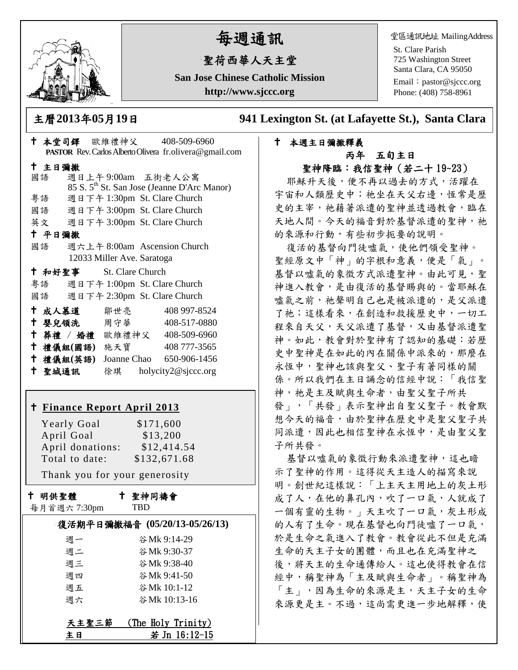

# 每週通訊

## 聖荷西華人天主堂

**San Jose Chinese Catholic Mission http://www.sjccc.org**

堂區通訊地址 MailingAddress

St. Clare Parish 725 Washington Street Santa Clara, CA 95050

Email: [pastor@sjccc.org](mailto:pastor@sjccc.org) Phone: (408) 758-8961

主曆**2013**年**05**月**19**日 **941 Lexington St. (at Lafayette St.), Santa Clara** 

## 本週主日彌撒釋義 丙年 五旬主日 聖神降臨:我信聖神(若二十 19~23)

耶穌升天後,便不再以過去的方式,活躍在 宇宙和人類歷史中;祂坐在天父右邊,恆常是歷 史的主宰,祂藉著派遣的聖神並透過教會,臨在 天地人間。今天的福音對於基督派遣的聖神,祂 的來源和行動,有些初步扼要的說明。

復活的基督向門徒噓氣,使他們領受聖神。 聖經原文中「神」的字根和意義,便是「氣」。 基督以噓氣的象徵方式派遣聖神。由此可見, 聖 神進入教會,是由復活的基督賜與的。當耶穌在 噓氣之前,祂聲明自己也是被派遣的,是父派遣 了祂;這樣看來,在創造和救援歷史中,一切工 程來自天父,天父派遣了基督,又由基督派遣聖 神。如此,教會對於聖神有了認知的基礎:若歷 史中聖神是在如此的內在關係中派來的,那麼在 永恆中,聖神也該與聖父、聖子有著同樣的關 係。所以我們在主日誦念的信經中說:「我信聖 神, 祂是主及賦與生命者, 由聖父聖子所共 發」,「共發」表示聖神出自聖父聖子。教會默 想今天的福音,由於聖神在歷史中是聖父聖子共 同派遣,因此也相信聖神在永恆中,是由聖父聖 子所共發。

基督以噓氣的象徵行動來派遣聖神,這也暗 示了聖神的作用。這得從天主造人的描寫來說 明。創世紀這樣說:「上主天主用地上的灰土形 成了人,在他的鼻孔內,吹了一口氣,人就成了 一個有靈的生物。」天主吹了一口氣,灰土形成 的人有了生命。現在基督也向門徒噓了一口氣, 於是生命之氣進入了教會。教會從此不但是充滿 生命的天主子女的團體,而且也在充滿聖神之 後,將天主的生命通傳給人。這也使得教會在信 經中,稱聖神為「主及賦與生命者」。稱聖神為 「主」,因為生命的來源是主,天主子女的生命 來源更是主。不過,這尚需更進一步地解釋,使

| † 本堂司鐸 歐維禮神父 408-509-6960                                                                                                                                 |                                                                                   | PASTOR Rev. Carlos Alberto Olivera fr.olivera@gmail.com                                                                                                                                              |
|-----------------------------------------------------------------------------------------------------------------------------------------------------------|-----------------------------------------------------------------------------------|------------------------------------------------------------------------------------------------------------------------------------------------------------------------------------------------------|
| 十 主日彌撒<br>國語<br>粤語<br>國語 週日下午 3:00pm St. Clare Church<br>英文 週日下午 3:00pm St. Clare Church<br>十 平日彌撒<br>國語                                                  | 週日上午9:00am 五街老人公寓<br>週日下午 1:30pm St. Clare Church<br>週六上午 8:00am Ascension Church | 85 S. 5 <sup>th</sup> St. San Jose (Jeanne D'Arc Manor)                                                                                                                                              |
| <sup>†</sup> 和好聖事 St. Clare Church<br>粤語 週日下午 1:00pm St. Clare Church<br>國語 週日下午 2:30pm St. Clare Church<br>十 禮儀組(國語) 施天寶                                 | 12033 Miller Ave. Saratoga                                                        | † 成人慕道   鄒世亮    408 997-8524<br><sup>†</sup> 嬰兒領洗 周守華 408-517-0880<br>+ 葬禮 / 婚禮 歐維禮神父 408-509-6960<br>408 777-3565<br>† 禮儀組(英語) Joanne Chao 650-906-1456<br><sup>†</sup> 聖城通訊 徐琪 holycity2@sjccc.org |
| <u>† Finance Report April 2013</u><br><b>Yearly Goal</b><br>April Goal<br>April donations: \$12,414.54<br>Total to date:<br>Thank you for your generosity |                                                                                   | \$171,600<br>\$13,200<br>\$132,671.68                                                                                                                                                                |
| 十 明供聖體                                                                                                                                                    | 十 聖神同禱會                                                                           |                                                                                                                                                                                                      |

|  |  | 每月首週六7:30pm |
|--|--|-------------|
|--|--|-------------|

## TBD

| 復活期平日彌撒福音 (05/20/13-05/26/13) |                    |  |  |  |
|-------------------------------|--------------------|--|--|--|
| 调一                            | 谷 Mk 9:14-29       |  |  |  |
| 週二                            | 谷Mk 9:30-37        |  |  |  |
| 週三                            | 谷 Mk 9:38-40       |  |  |  |
| 週四                            | 谷 Mk 9:41-50       |  |  |  |
| 週五                            | 谷 Mk 10:1-12       |  |  |  |
| 週六                            | 谷Mk 10:13-16       |  |  |  |
|                               |                    |  |  |  |
| 天主聖三節                         | (The Holy Trinity) |  |  |  |
| 主日                            | 若 Jn 16:12-15      |  |  |  |